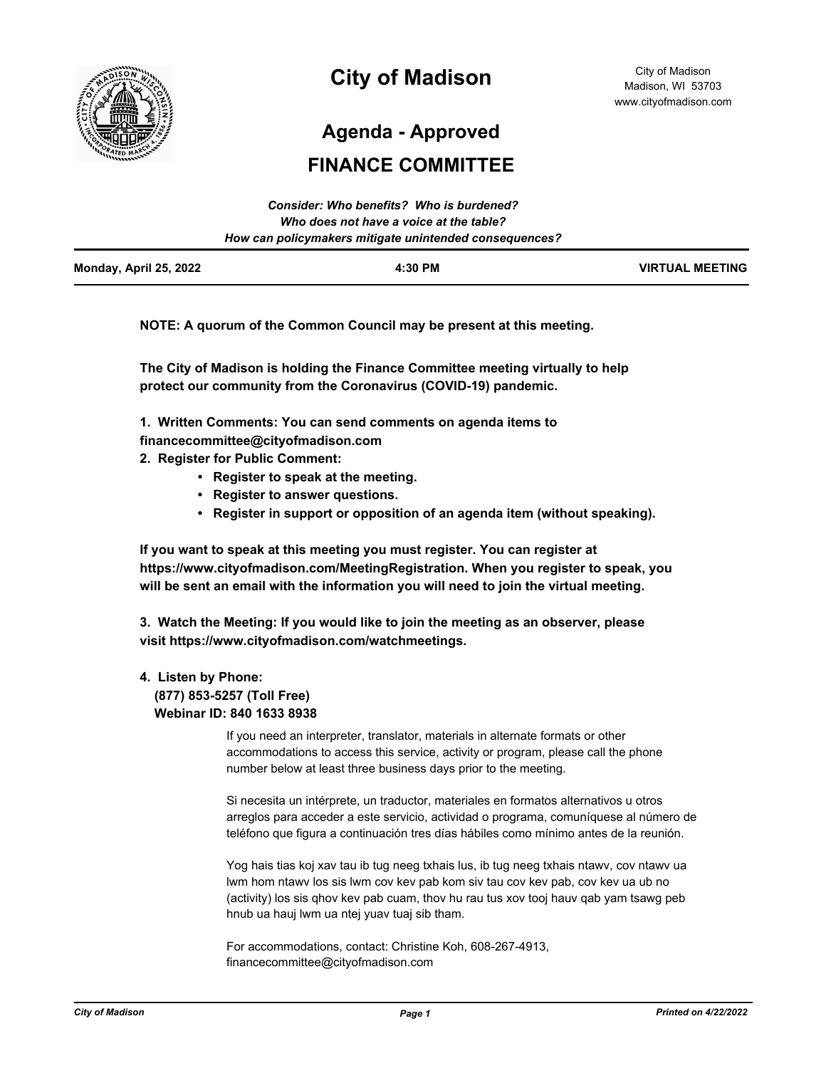

# **City of Madison**

City of Madison Madison, WI 53703 www.cityofmadison.com

**Agenda - Approved**

# **FINANCE COMMITTEE**

|                        | Consider: Who benefits? Who is burdened?               |                        |
|------------------------|--------------------------------------------------------|------------------------|
|                        | Who does not have a voice at the table?                |                        |
|                        | How can policymakers mitigate unintended consequences? |                        |
| Monday, April 25, 2022 | 4:30 PM                                                | <b>VIRTUAL MEETING</b> |

**NOTE: A quorum of the Common Council may be present at this meeting.**

**The City of Madison is holding the Finance Committee meeting virtually to help protect our community from the Coronavirus (COVID-19) pandemic.**

**1. Written Comments: You can send comments on agenda items to** 

- **financecommittee@cityofmadison.com**
- **2. Register for Public Comment:** 
	- **Register to speak at the meeting.**
	- **Register to answer questions.**
	- **Register in support or opposition of an agenda item (without speaking).**

**If you want to speak at this meeting you must register. You can register at https://www.cityofmadison.com/MeetingRegistration. When you register to speak, you will be sent an email with the information you will need to join the virtual meeting.**

**3. Watch the Meeting: If you would like to join the meeting as an observer, please visit https://www.cityofmadison.com/watchmeetings.**

## **4. Listen by Phone:**

 **(877) 853-5257 (Toll Free) Webinar ID: 840 1633 8938**

> If you need an interpreter, translator, materials in alternate formats or other accommodations to access this service, activity or program, please call the phone number below at least three business days prior to the meeting.

Si necesita un intérprete, un traductor, materiales en formatos alternativos u otros arreglos para acceder a este servicio, actividad o programa, comuníquese al número de teléfono que figura a continuación tres días hábiles como mínimo antes de la reunión.

Yog hais tias koj xav tau ib tug neeg txhais lus, ib tug neeg txhais ntawv, cov ntawv ua lwm hom ntawv los sis lwm cov kev pab kom siv tau cov kev pab, cov kev ua ub no (activity) los sis qhov kev pab cuam, thov hu rau tus xov tooj hauv qab yam tsawg peb hnub ua hauj lwm ua ntej yuav tuaj sib tham.

For accommodations, contact: Christine Koh, 608-267-4913, financecommittee@cityofmadison.com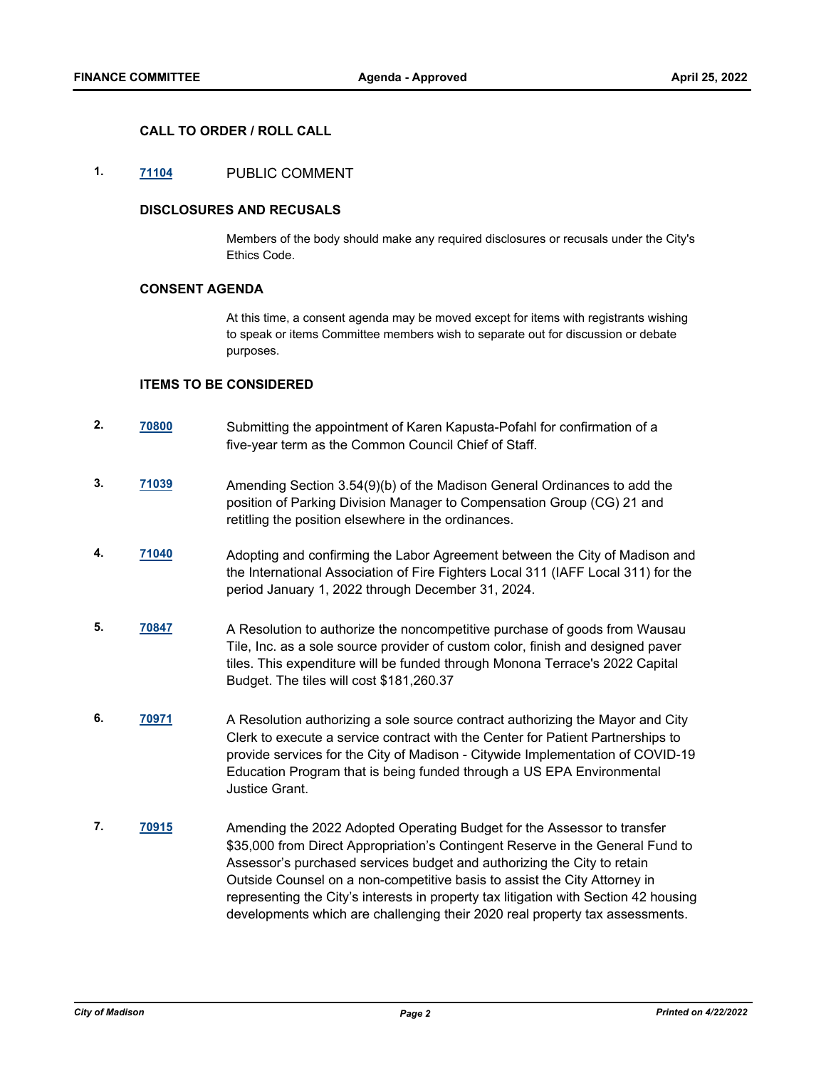### **CALL TO ORDER / ROLL CALL**

# **1. [71104](http://madison.legistar.com/gateway.aspx?m=l&id=/matter.aspx?key=83055)** PUBLIC COMMENT

#### **DISCLOSURES AND RECUSALS**

Members of the body should make any required disclosures or recusals under the City's Ethics Code.

#### **CONSENT AGENDA**

At this time, a consent agenda may be moved except for items with registrants wishing to speak or items Committee members wish to separate out for discussion or debate purposes.

#### **ITEMS TO BE CONSIDERED**

- **2. [70800](http://madison.legistar.com/gateway.aspx?m=l&id=/matter.aspx?key=82812)** Submitting the appointment of Karen Kapusta-Pofahl for confirmation of a five-year term as the Common Council Chief of Staff.
- **3. [71039](http://madison.legistar.com/gateway.aspx?m=l&id=/matter.aspx?key=82999)** Amending Section 3.54(9)(b) of the Madison General Ordinances to add the position of Parking Division Manager to Compensation Group (CG) 21 and retitling the position elsewhere in the ordinances.
- **4. [71040](http://madison.legistar.com/gateway.aspx?m=l&id=/matter.aspx?key=83000)** Adopting and confirming the Labor Agreement between the City of Madison and the International Association of Fire Fighters Local 311 (IAFF Local 311) for the period January 1, 2022 through December 31, 2024.
- **5. [70847](http://madison.legistar.com/gateway.aspx?m=l&id=/matter.aspx?key=82845)** A Resolution to authorize the noncompetitive purchase of goods from Wausau Tile, Inc. as a sole source provider of custom color, finish and designed paver tiles. This expenditure will be funded through Monona Terrace's 2022 Capital Budget. The tiles will cost \$181,260.37
- **6. [70971](http://madison.legistar.com/gateway.aspx?m=l&id=/matter.aspx?key=82950)** A Resolution authorizing a sole source contract authorizing the Mayor and City Clerk to execute a service contract with the Center for Patient Partnerships to provide services for the City of Madison - Citywide Implementation of COVID-19 Education Program that is being funded through a US EPA Environmental Justice Grant.
- **7. [70915](http://madison.legistar.com/gateway.aspx?m=l&id=/matter.aspx?key=82903)** Amending the 2022 Adopted Operating Budget for the Assessor to transfer \$35,000 from Direct Appropriation's Contingent Reserve in the General Fund to Assessor's purchased services budget and authorizing the City to retain Outside Counsel on a non-competitive basis to assist the City Attorney in representing the City's interests in property tax litigation with Section 42 housing developments which are challenging their 2020 real property tax assessments.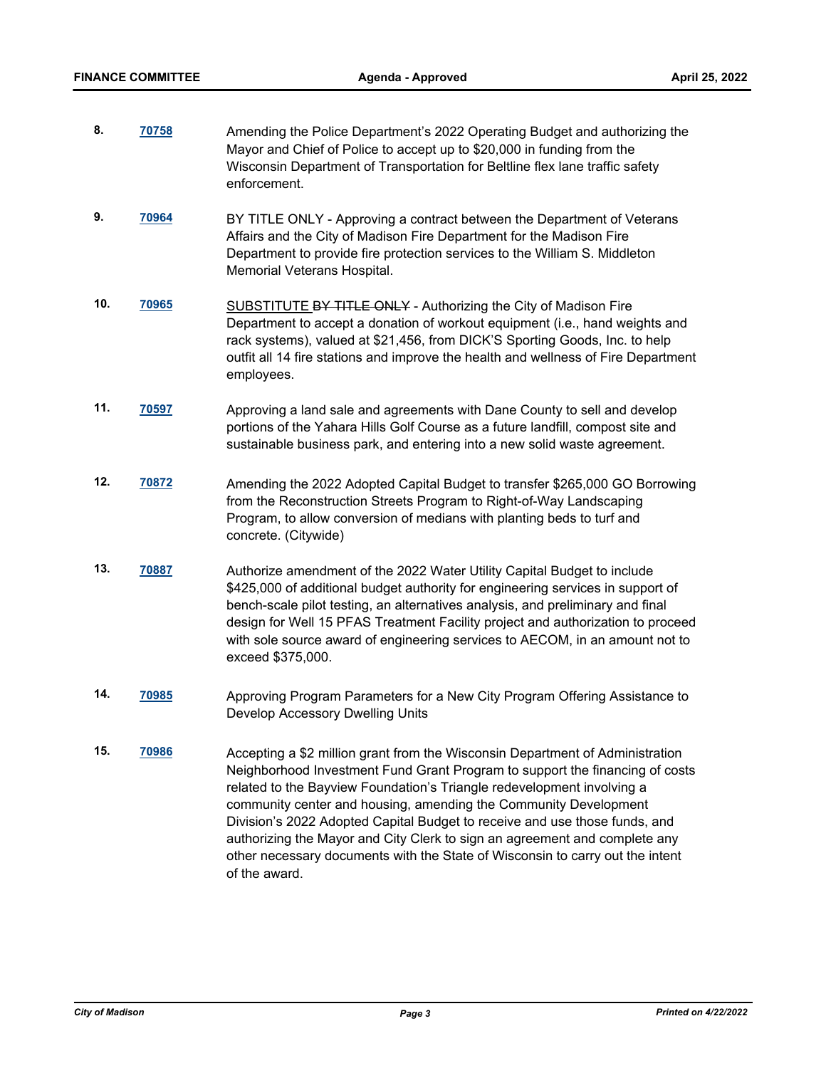| 8.  | 70758        | Amending the Police Department's 2022 Operating Budget and authorizing the<br>Mayor and Chief of Police to accept up to \$20,000 in funding from the<br>Wisconsin Department of Transportation for Beltline flex lane traffic safety<br>enforcement.                                                                                                                                                                                 |  |
|-----|--------------|--------------------------------------------------------------------------------------------------------------------------------------------------------------------------------------------------------------------------------------------------------------------------------------------------------------------------------------------------------------------------------------------------------------------------------------|--|
| 9.  | 70964        | BY TITLE ONLY - Approving a contract between the Department of Veterans<br>Affairs and the City of Madison Fire Department for the Madison Fire<br>Department to provide fire protection services to the William S. Middleton<br>Memorial Veterans Hospital.                                                                                                                                                                         |  |
| 10. | <u>70965</u> | SUBSTITUTE BY TITLE ONLY - Authorizing the City of Madison Fire<br>Department to accept a donation of workout equipment (i.e., hand weights and<br>rack systems), valued at \$21,456, from DICK'S Sporting Goods, Inc. to help<br>outfit all 14 fire stations and improve the health and wellness of Fire Department<br>employees.                                                                                                   |  |
| 11. | <u>70597</u> | Approving a land sale and agreements with Dane County to sell and develop<br>portions of the Yahara Hills Golf Course as a future landfill, compost site and<br>sustainable business park, and entering into a new solid waste agreement.                                                                                                                                                                                            |  |
| 12. | <u>70872</u> | Amending the 2022 Adopted Capital Budget to transfer \$265,000 GO Borrowing<br>from the Reconstruction Streets Program to Right-of-Way Landscaping<br>Program, to allow conversion of medians with planting beds to turf and<br>concrete. (Citywide)                                                                                                                                                                                 |  |
| 13. | 70887        | Authorize amendment of the 2022 Water Utility Capital Budget to include<br>\$425,000 of additional budget authority for engineering services in support of<br>bench-scale pilot testing, an alternatives analysis, and preliminary and final<br>design for Well 15 PFAS Treatment Facility project and authorization to proceed<br>with sole source award of engineering services to AECOM, in an amount not to<br>exceed \$375,000. |  |
| 14. | <u>70985</u> | Approving Program Parameters for a New City Program Offering Assistance to<br>Develop Accessory Dwelling Units                                                                                                                                                                                                                                                                                                                       |  |
| 15. | 70986        | Accepting a \$2 million grant from the Wisconsin Department of Administration<br>Neighborhood Investment Fund Grant Program to support the financing of costs<br>related to the Bayview Foundation's Triangle redevelopment involving a<br>community center and housing, amending the Community Development                                                                                                                          |  |

Division's 2022 Adopted Capital Budget to receive and use those funds, and authorizing the Mayor and City Clerk to sign an agreement and complete any other necessary documents with the State of Wisconsin to carry out the intent of the award.